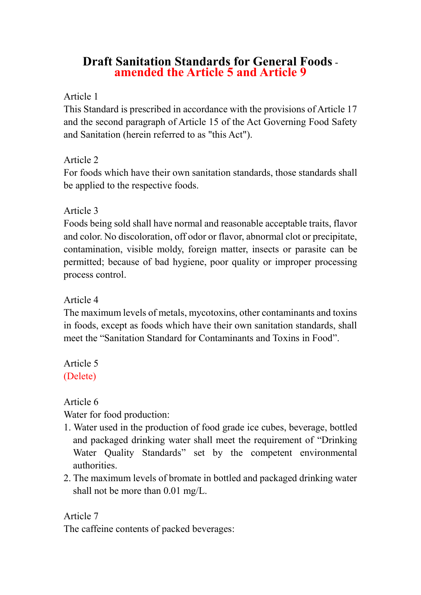# **Draft Sanitation Standards for General Foods amended the Article 5 and Article 9**

### Article 1

This Standard is prescribed in accordance with the provisions of Article 17 and the second paragraph of Article 15 of the Act Governing Food Safety and Sanitation (herein referred to as "this Act").

## Article 2

For foods which have their own sanitation standards, those standards shall be applied to the respective foods.

## Article 3

Foods being sold shall have normal and reasonable acceptable traits, flavor and color. No discoloration, off odor or flavor, abnormal clot or precipitate, contamination, visible moldy, foreign matter, insects or parasite can be permitted; because of bad hygiene, poor quality or improper processing process control.

### Article 4

The maximum levels of metals, mycotoxins, other contaminants and toxins in foods, except as foods which have their own sanitation standards, shall meet the "Sanitation Standard for Contaminants and Toxins in Food".

# Article 5 (Delete)

Article 6

Water for food production:

- 1. Water used in the production of food grade ice cubes, beverage, bottled and packaged drinking water shall meet the requirement of "Drinking Water Quality Standards" set by the competent environmental authorities.
- 2. The maximum levels of bromate in bottled and packaged drinking water shall not be more than 0.01 mg/L.

Article 7 The caffeine contents of packed beverages: